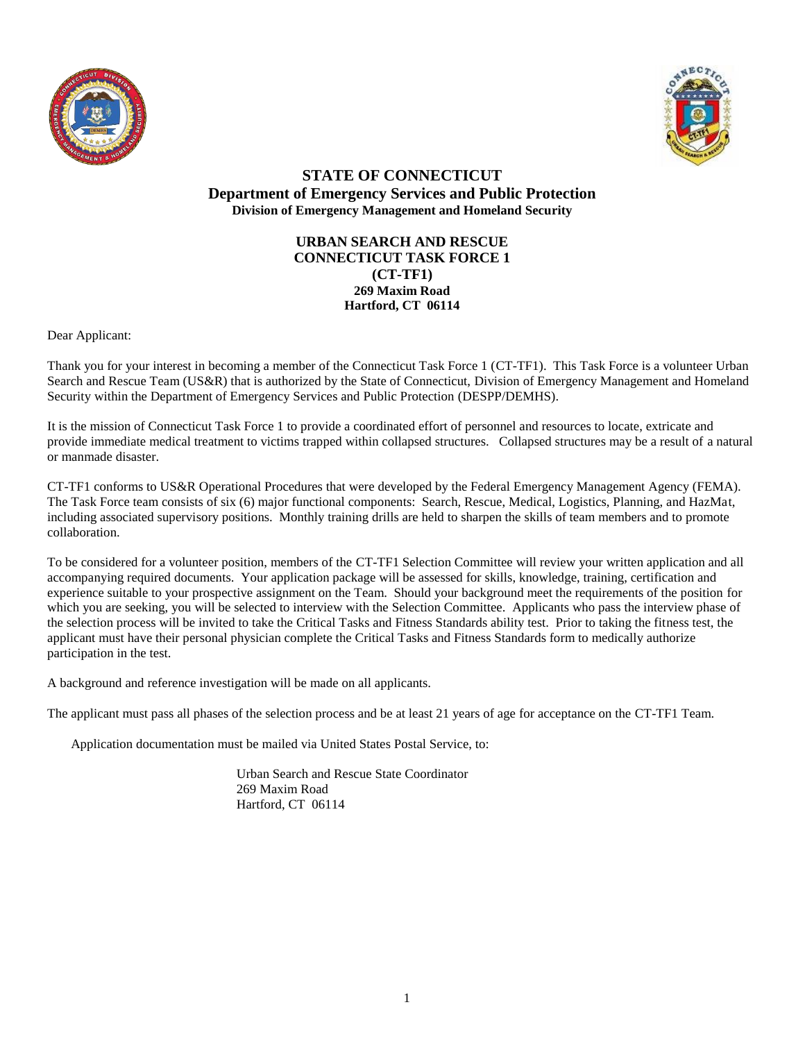



### **URBAN SEARCH AND RESCUE CONNECTICUT TASK FORCE 1 (CT-TF1) 269 Maxim Road Hartford, CT 06114**

Dear Applicant:

Thank you for your interest in becoming a member of the Connecticut Task Force 1 (CT-TF1). This Task Force is a volunteer Urban Search and Rescue Team (US&R) that is authorized by the State of Connecticut, Division of Emergency Management and Homeland Security within the Department of Emergency Services and Public Protection (DESPP/DEMHS).

It is the mission of Connecticut Task Force 1 to provide a coordinated effort of personnel and resources to locate, extricate and provide immediate medical treatment to victims trapped within collapsed structures. Collapsed structures may be a result of a natural or manmade disaster.

CT-TF1 conforms to US&R Operational Procedures that were developed by the Federal Emergency Management Agency (FEMA). The Task Force team consists of six (6) major functional components: Search, Rescue, Medical, Logistics, Planning, and HazMat, including associated supervisory positions. Monthly training drills are held to sharpen the skills of team members and to promote collaboration.

To be considered for a volunteer position, members of the CT-TF1 Selection Committee will review your written application and all accompanying required documents. Your application package will be assessed for skills, knowledge, training, certification and experience suitable to your prospective assignment on the Team. Should your background meet the requirements of the position for which you are seeking, you will be selected to interview with the Selection Committee. Applicants who pass the interview phase of the selection process will be invited to take the Critical Tasks and Fitness Standards ability test. Prior to taking the fitness test, the applicant must have their personal physician complete the Critical Tasks and Fitness Standards form to medically authorize participation in the test.

A background and reference investigation will be made on all applicants.

The applicant must pass all phases of the selection process and be at least 21 years of age for acceptance on the CT-TF1 Team.

Application documentation must be mailed via United States Postal Service, to:

Urban Search and Rescue State Coordinator 269 Maxim Road Hartford, CT 06114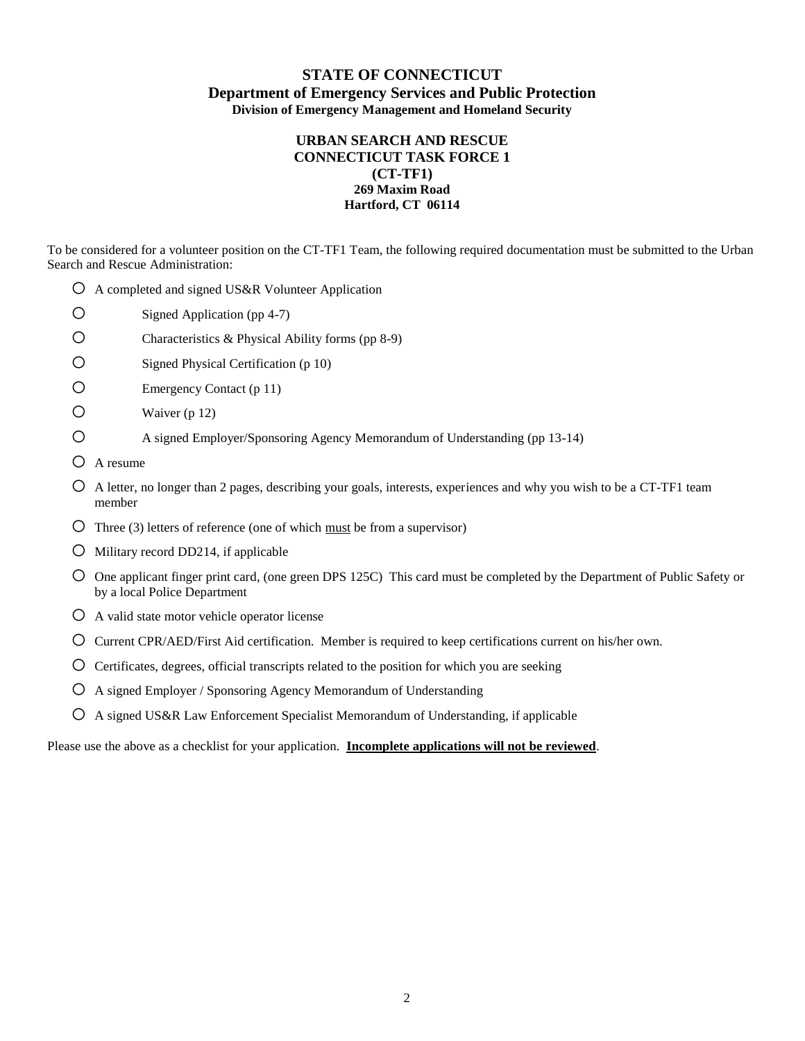### **URBAN SEARCH AND RESCUE CONNECTICUT TASK FORCE 1 (CT-TF1) 269 Maxim Road Hartford, CT 06114**

To be considered for a volunteer position on the CT-TF1 Team, the following required documentation must be submitted to the Urban Search and Rescue Administration:

- $\overline{O}$  A completed and signed US&R Volunteer Application
- o Signed Application (pp 4-7)
- $\circ$  Characteristics & Physical Ability forms (pp 8-9)
- o Signed Physical Certification (p 10)
- o Emergency Contact (p 11)
- $\bigcirc$  Waiver (p 12)
- o A signed Employer/Sponsoring Agency Memorandum of Understanding (pp 13-14)
- o A resume
- $\circ$  A letter, no longer than 2 pages, describing your goals, interests, experiences and why you wish to be a CT-TF1 team member
- O Three (3) letters of reference (one of which must be from a supervisor)
- $\overline{O}$  Military record DD214, if applicable
- o One applicant finger print card, (one green DPS 125C) This card must be completed by the Department of Public Safety or by a local Police Department
- $\overline{O}$  A valid state motor vehicle operator license
- o Current CPR/AED/First Aid certification. Member is required to keep certifications current on his/her own.
- $\circ$  Certificates, degrees, official transcripts related to the position for which you are seeking
- $\overline{O}$  A signed Employer / Sponsoring Agency Memorandum of Understanding
- $\overline{O}$  A signed US&R Law Enforcement Specialist Memorandum of Understanding, if applicable

Please use the above as a checklist for your application. **Incomplete applications will not be reviewed**.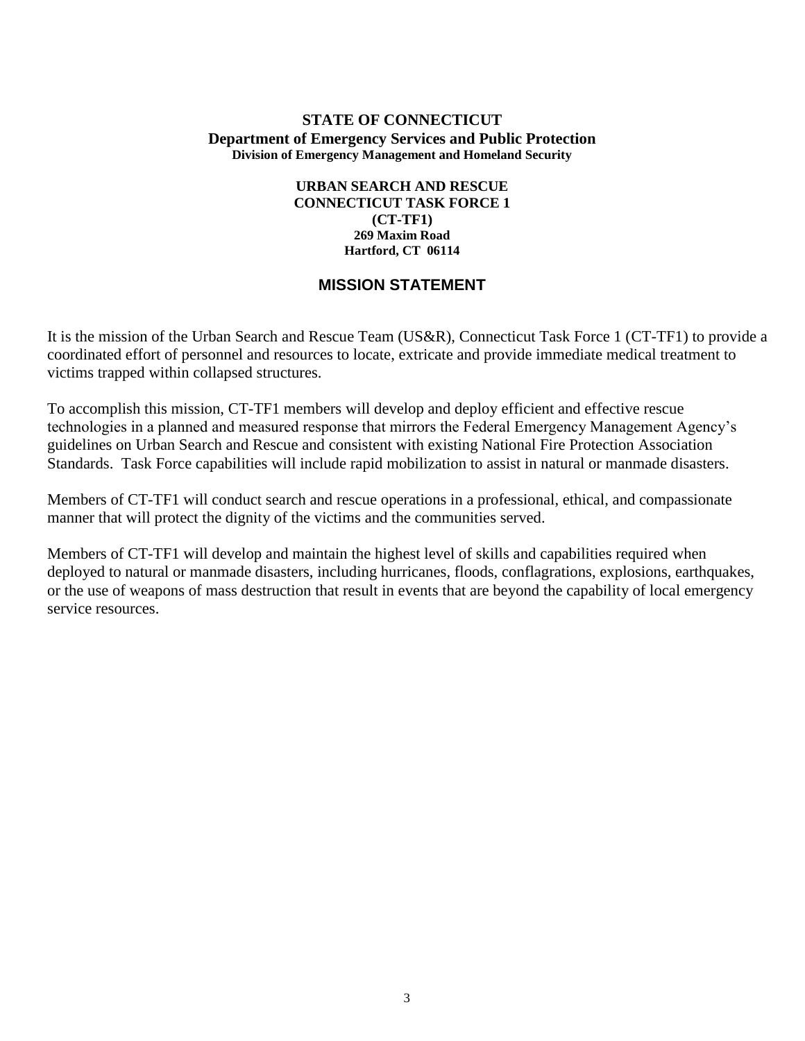### **URBAN SEARCH AND RESCUE CONNECTICUT TASK FORCE 1 (CT-TF1) 269 Maxim Road Hartford, CT 06114**

## **MISSION STATEMENT**

It is the mission of the Urban Search and Rescue Team (US&R), Connecticut Task Force 1 (CT-TF1) to provide a coordinated effort of personnel and resources to locate, extricate and provide immediate medical treatment to victims trapped within collapsed structures.

To accomplish this mission, CT-TF1 members will develop and deploy efficient and effective rescue technologies in a planned and measured response that mirrors the Federal Emergency Management Agency's guidelines on Urban Search and Rescue and consistent with existing National Fire Protection Association Standards. Task Force capabilities will include rapid mobilization to assist in natural or manmade disasters.

Members of CT-TF1 will conduct search and rescue operations in a professional, ethical, and compassionate manner that will protect the dignity of the victims and the communities served.

Members of CT-TF1 will develop and maintain the highest level of skills and capabilities required when deployed to natural or manmade disasters, including hurricanes, floods, conflagrations, explosions, earthquakes, or the use of weapons of mass destruction that result in events that are beyond the capability of local emergency service resources.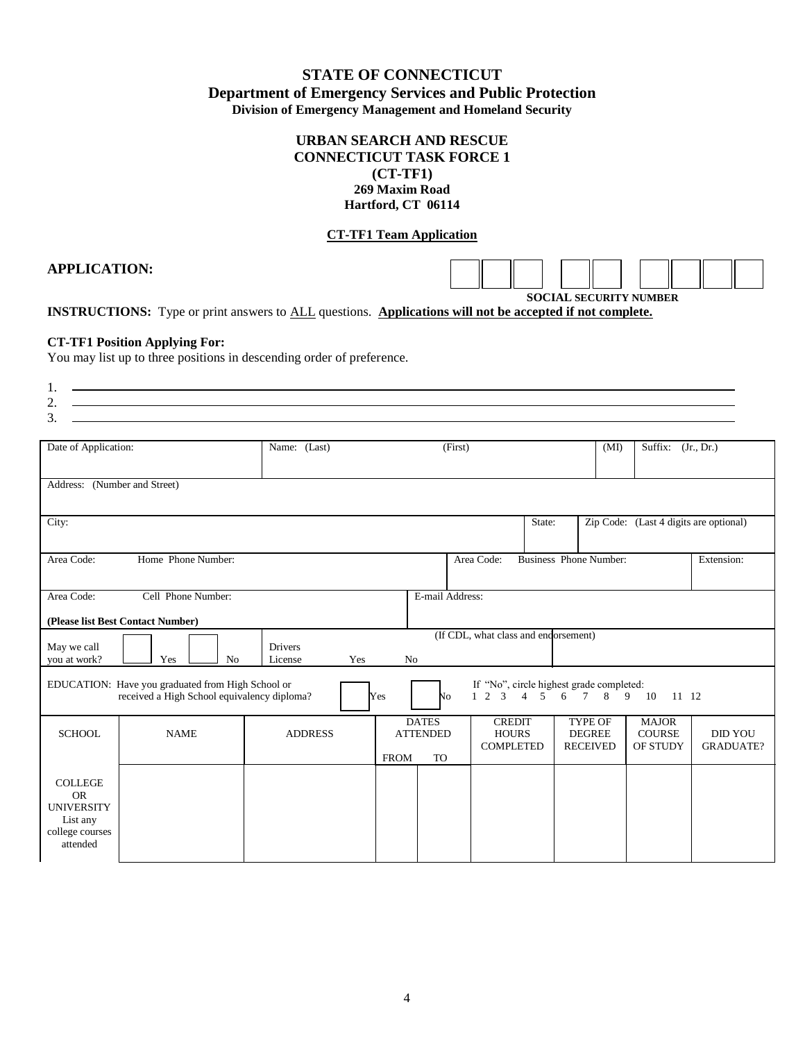### **URBAN SEARCH AND RESCUE CONNECTICUT TASK FORCE 1 (CT-TF1) 269 Maxim Road Hartford, CT 06114**

### **CT-TF1 Team Application**

## **APPLICATION:**

**SOCIAL SECURITY NUMBER** 

**INSTRUCTIONS:** Type or print answers to ALL questions. **Applications will not be accepted if not complete.**

#### **CT-TF1 Position Applying For:**

You may list up to three positions in descending order of preference.

| $\mathbf{1}$ .           |                                                                                                                      |
|--------------------------|----------------------------------------------------------------------------------------------------------------------|
| $\overline{\phantom{a}}$ |                                                                                                                      |
| $\sim$<br>               | <u> Andreas Andrews Andrews Andrews Andrews Andrews Andrews Andrews Andrews Andrews Andrews Andrews Andrews Andr</u> |

| Date of Application:                                                                                    |                                   | Name: (Last)                     |                | (First)                                                                                                     |                                                   | (MI)                                               | Suffix: (Jr., Dr.)                        |                                    |
|---------------------------------------------------------------------------------------------------------|-----------------------------------|----------------------------------|----------------|-------------------------------------------------------------------------------------------------------------|---------------------------------------------------|----------------------------------------------------|-------------------------------------------|------------------------------------|
| Address: (Number and Street)                                                                            |                                   |                                  |                |                                                                                                             |                                                   |                                                    |                                           |                                    |
| City:                                                                                                   |                                   |                                  |                |                                                                                                             | State:                                            |                                                    | Zip Code: (Last 4 digits are optional)    |                                    |
| Area Code:                                                                                              | Home Phone Number:                |                                  |                |                                                                                                             | Area Code:                                        | <b>Business Phone Number:</b>                      |                                           | Extension:                         |
| Area Code:                                                                                              | Cell Phone Number:                |                                  |                | E-mail Address:                                                                                             |                                                   |                                                    |                                           |                                    |
|                                                                                                         | (Please list Best Contact Number) |                                  |                |                                                                                                             |                                                   |                                                    |                                           |                                    |
| May we call<br>you at work?                                                                             | Yes<br>N <sub>o</sub>             | <b>Drivers</b><br>License<br>Yes | N <sub>o</sub> |                                                                                                             | (If CDL, what class and endorsement)              |                                                    |                                           |                                    |
| EDUCATION: Have you graduated from High School or<br>received a High School equivalency diploma?<br>Yes |                                   |                                  | No             | If "No", circle highest grade completed:<br>$1\quad 2$<br>$\mathcal{R}$<br>$\overline{4}$<br>$\overline{5}$ | 6<br>$7\overline{ }$<br>8                         | 9<br>10<br>11 12                                   |                                           |                                    |
| <b>SCHOOL</b>                                                                                           | <b>NAME</b>                       | <b>ADDRESS</b>                   | <b>FROM</b>    | <b>DATES</b><br><b>ATTENDED</b><br><b>TO</b>                                                                | <b>CREDIT</b><br><b>HOURS</b><br><b>COMPLETED</b> | <b>TYPE OF</b><br><b>DEGREE</b><br><b>RECEIVED</b> | <b>MAJOR</b><br><b>COURSE</b><br>OF STUDY | <b>DID YOU</b><br><b>GRADUATE?</b> |
| <b>COLLEGE</b><br><b>OR</b><br><b>UNIVERSITY</b><br>List any<br>college courses<br>attended             |                                   |                                  |                |                                                                                                             |                                                   |                                                    |                                           |                                    |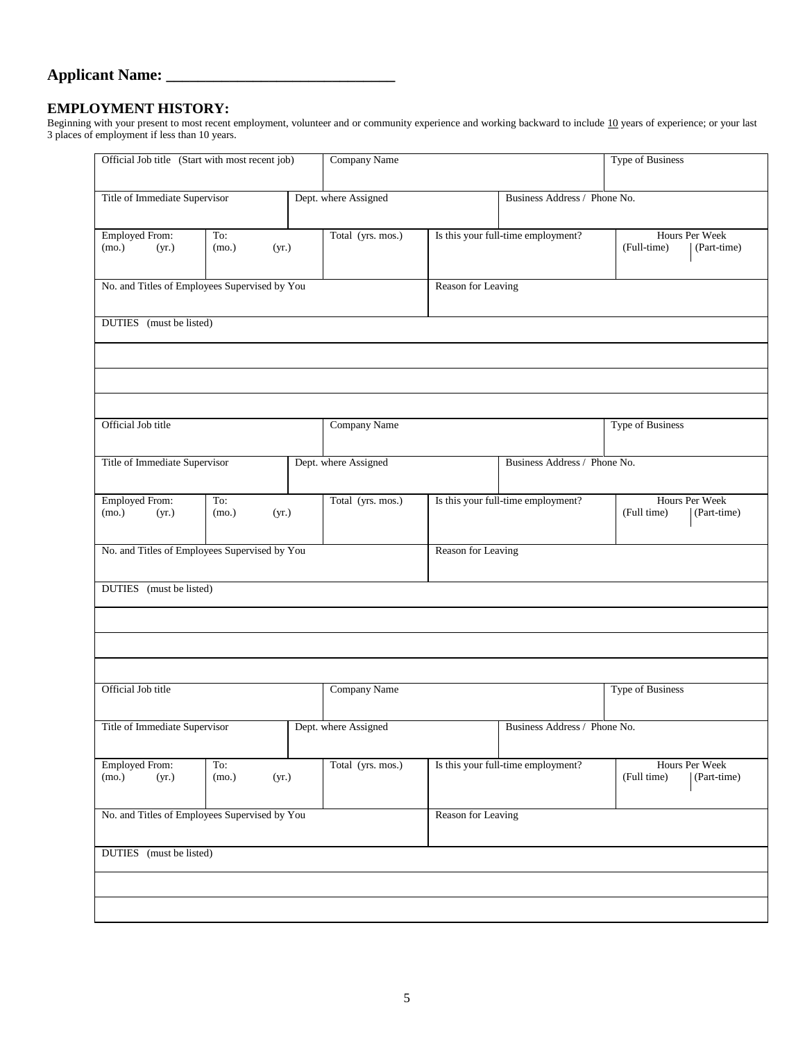## **Applicant Name: \_\_\_\_\_\_\_\_\_\_\_\_\_\_\_\_\_\_\_\_\_\_\_\_\_\_\_\_\_**

### **EMPLOYMENT HISTORY:**

Beginning with your present to most recent employment, volunteer and or community experience and working backward to include 10 years of experience; or your last 3 places of employment if less than 10 years.

| Official Job title (Start with most recent job)       |                       |  | Company Name                 |                    |                                    | <b>Type of Business</b>                      |
|-------------------------------------------------------|-----------------------|--|------------------------------|--------------------|------------------------------------|----------------------------------------------|
| Title of Immediate Supervisor<br>Dept. where Assigned |                       |  | Business Address / Phone No. |                    |                                    |                                              |
| <b>Employed From:</b><br>(mo.)<br>(yr.)               | To:<br>(mo.)<br>(yr.) |  | Total (yrs. mos.)            |                    | Is this your full-time employment? | Hours Per Week<br>(Full-time)<br>(Part-time) |
| No. and Titles of Employees Supervised by You         |                       |  |                              | Reason for Leaving |                                    |                                              |
| DUTIES (must be listed)                               |                       |  |                              |                    |                                    |                                              |
|                                                       |                       |  |                              |                    |                                    |                                              |
|                                                       |                       |  |                              |                    |                                    |                                              |
| Official Job title                                    |                       |  | Company Name                 |                    |                                    | Type of Business                             |
| Title of Immediate Supervisor                         |                       |  | Dept. where Assigned         |                    | Business Address / Phone No.       |                                              |
| <b>Employed From:</b><br>(mo.)<br>(yr.)               | To:<br>(mo.)<br>(yr.) |  | Total (yrs. mos.)            |                    | Is this your full-time employment? | Hours Per Week<br>(Full time)<br>(Part-time) |
| No. and Titles of Employees Supervised by You         |                       |  |                              | Reason for Leaving |                                    |                                              |
| DUTIES (must be listed)                               |                       |  |                              |                    |                                    |                                              |
|                                                       |                       |  |                              |                    |                                    |                                              |
|                                                       |                       |  |                              |                    |                                    |                                              |
| Official Job title                                    |                       |  | Company Name                 |                    |                                    | Type of Business                             |
| Title of Immediate Supervisor                         |                       |  | Dept. where Assigned         |                    | Business Address / Phone No.       |                                              |
| <b>Employed From:</b><br>(mo.)<br>(yr.)               | To:<br>(mo.)<br>(yr.) |  | Total (yrs. mos.)            |                    | Is this your full-time employment? | Hours Per Week<br>(Full time)<br>(Part-time) |
| No. and Titles of Employees Supervised by You         |                       |  | Reason for Leaving           |                    |                                    |                                              |
| DUTIES (must be listed)                               |                       |  |                              |                    |                                    |                                              |
|                                                       |                       |  |                              |                    |                                    |                                              |
|                                                       |                       |  |                              |                    |                                    |                                              |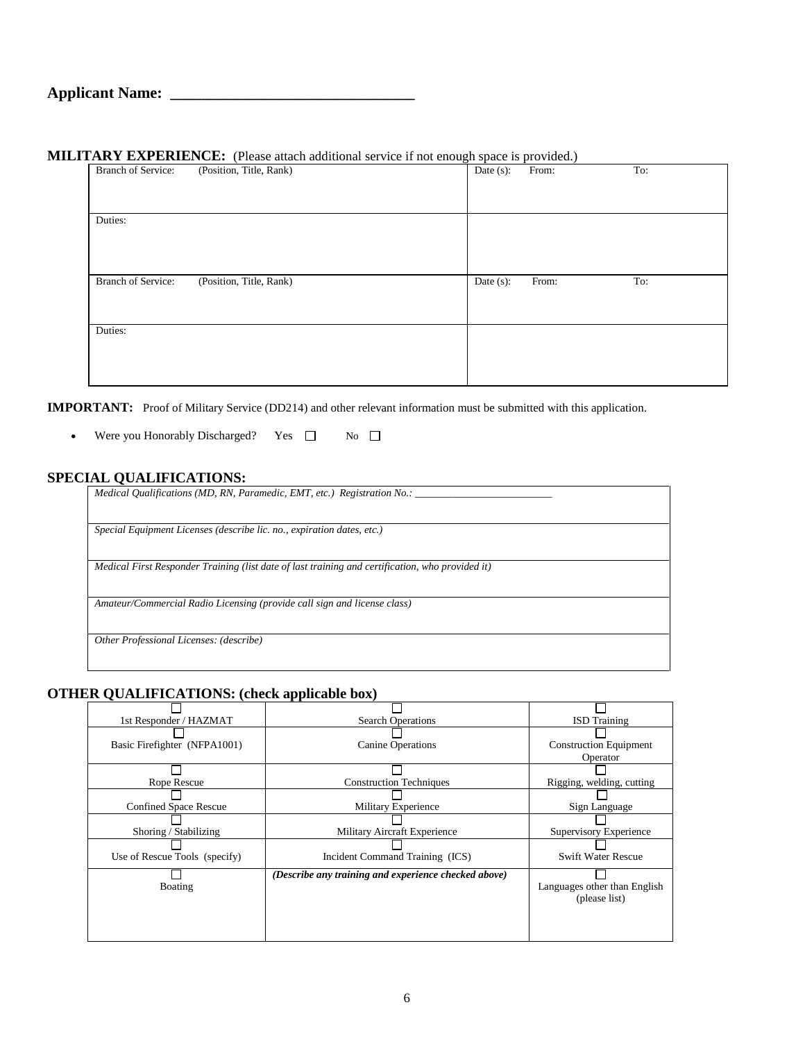### **MILITARY EXPERIENCE:** (Please attach additional service if not enough space is provided.)

| <b>Branch of Service:</b> | (Position, Title, Rank) | Date $(s)$ : | From: | To: |
|---------------------------|-------------------------|--------------|-------|-----|
| Duties:                   |                         |              |       |     |
|                           |                         |              |       |     |
| Branch of Service:        | (Position, Title, Rank) | Date $(s)$ : | From: | To: |
| Duties:                   |                         |              |       |     |
|                           |                         |              |       |     |

**IMPORTANT:** Proof of Military Service (DD214) and other relevant information must be submitted with this application.

• Were you Honorably Discharged? Yes  $\Box$  No  $\Box$ 

## **SPECIAL QUALIFICATIONS:**

| Medical Qualifications (MD, RN, Paramedic, EMT, etc.) Registration No.:                          |  |
|--------------------------------------------------------------------------------------------------|--|
| Special Equipment Licenses (describe lic. no., expiration dates, etc.)                           |  |
| Medical First Responder Training (list date of last training and certification, who provided it) |  |
| Amateur/Commercial Radio Licensing (provide call sign and license class)                         |  |
| Other Professional Licenses: (describe)                                                          |  |
|                                                                                                  |  |

### **OTHER QUALIFICATIONS: (check applicable box)**

| 1st Responder / HAZMAT        | <b>Search Operations</b>                             | <b>ISD</b> Training           |
|-------------------------------|------------------------------------------------------|-------------------------------|
|                               |                                                      |                               |
| Basic Firefighter (NFPA1001)  | Canine Operations                                    | <b>Construction Equipment</b> |
|                               |                                                      | Operator                      |
|                               |                                                      |                               |
| Rope Rescue                   | <b>Construction Techniques</b>                       | Rigging, welding, cutting     |
|                               |                                                      |                               |
| <b>Confined Space Rescue</b>  | Military Experience                                  | Sign Language                 |
|                               |                                                      |                               |
| Shoring / Stabilizing         | Military Aircraft Experience                         | Supervisory Experience        |
|                               |                                                      |                               |
| Use of Rescue Tools (specify) | Incident Command Training (ICS)                      | <b>Swift Water Rescue</b>     |
|                               | (Describe any training and experience checked above) |                               |
| Boating                       |                                                      | Languages other than English  |
|                               |                                                      | (please list)                 |
|                               |                                                      |                               |
|                               |                                                      |                               |
|                               |                                                      |                               |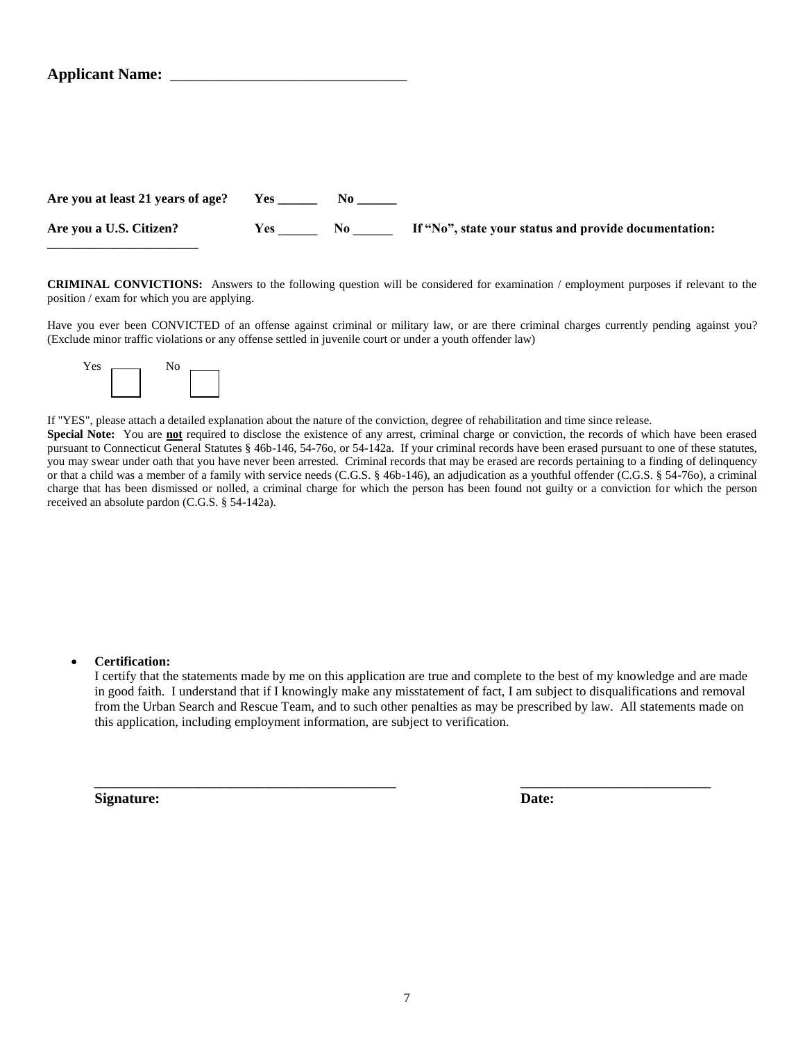| Are you at least 21 years of age? |     |           |                                                       |
|-----------------------------------|-----|-----------|-------------------------------------------------------|
| Are you a U.S. Citizen?           | Yes | $\bf{No}$ | If "No", state your status and provide documentation: |

**CRIMINAL CONVICTIONS:** Answers to the following question will be considered for examination / employment purposes if relevant to the position / exam for which you are applying.

Have you ever been CONVICTED of an offense against criminal or military law, or are there criminal charges currently pending against you? (Exclude minor traffic violations or any offense settled in juvenile court or under a youth offender law)



**\_\_\_\_\_\_\_\_\_\_\_\_\_\_\_\_\_\_\_\_\_\_\_**

If "YES", please attach a detailed explanation about the nature of the conviction, degree of rehabilitation and time since release.

Special Note: You are not required to disclose the existence of any arrest, criminal charge or conviction, the records of which have been erased pursuant to Connecticut General Statutes § 46b-146, 54-76o, or 54-142a. If your criminal records have been erased pursuant to one of these statutes, you may swear under oath that you have never been arrested. Criminal records that may be erased are records pertaining to a finding of delinquency or that a child was a member of a family with service needs (C.G.S. § 46b-146), an adjudication as a youthful offender (C.G.S. § 54-76o), a criminal charge that has been dismissed or nolled, a criminal charge for which the person has been found not guilty or a conviction for which the person received an absolute pardon (C.G.S. § 54-142a).

#### **Certification:**

I certify that the statements made by me on this application are true and complete to the best of my knowledge and are made in good faith. I understand that if I knowingly make any misstatement of fact, I am subject to disqualifications and removal from the Urban Search and Rescue Team, and to such other penalties as may be prescribed by law. All statements made on this application, including employment information, are subject to verification.

 **\_\_\_\_\_\_\_\_\_\_\_\_\_\_\_\_\_\_\_\_\_\_\_\_\_\_\_\_\_\_\_\_\_\_\_\_\_\_\_\_\_\_\_\_\_\_ \_\_\_\_\_\_\_\_\_\_\_\_\_\_\_\_\_\_\_\_\_\_\_\_\_\_\_\_\_**

**Signature: Date:**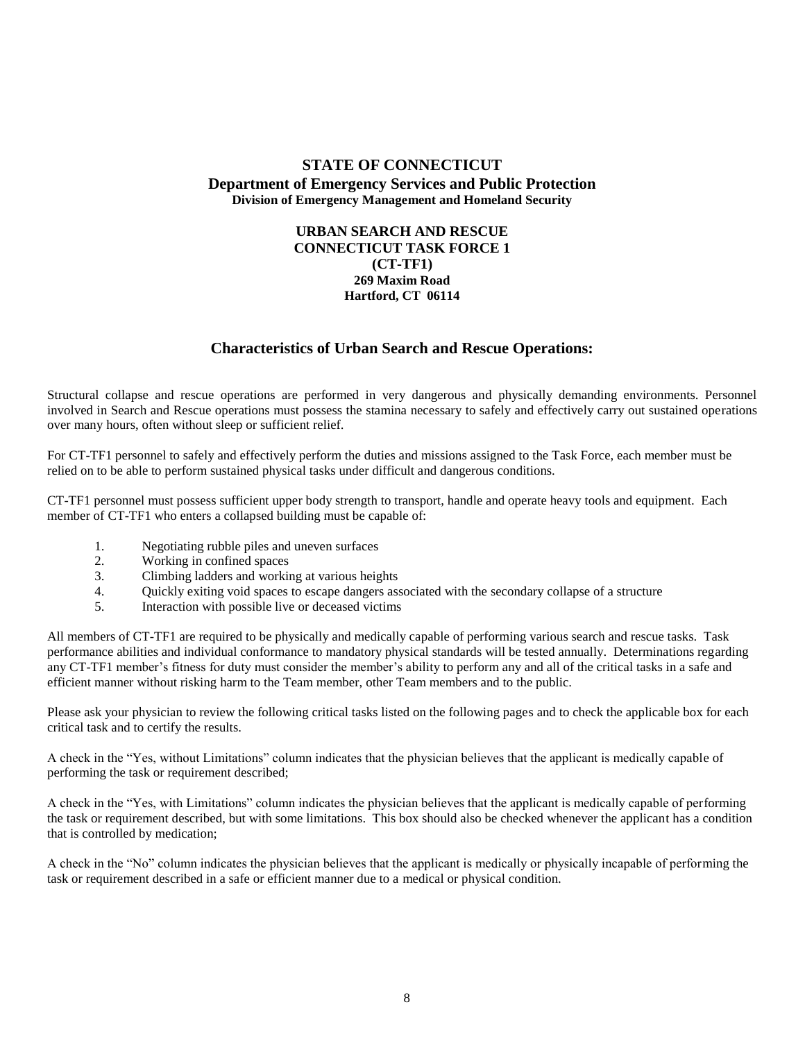#### **URBAN SEARCH AND RESCUE CONNECTICUT TASK FORCE 1 (CT-TF1) 269 Maxim Road Hartford, CT 06114**

## **Characteristics of Urban Search and Rescue Operations:**

Structural collapse and rescue operations are performed in very dangerous and physically demanding environments. Personnel involved in Search and Rescue operations must possess the stamina necessary to safely and effectively carry out sustained operations over many hours, often without sleep or sufficient relief.

For CT-TF1 personnel to safely and effectively perform the duties and missions assigned to the Task Force, each member must be relied on to be able to perform sustained physical tasks under difficult and dangerous conditions.

CT-TF1 personnel must possess sufficient upper body strength to transport, handle and operate heavy tools and equipment. Each member of CT-TF1 who enters a collapsed building must be capable of:

- 1. Negotiating rubble piles and uneven surfaces
- 2. Working in confined spaces
- 3. Climbing ladders and working at various heights
- 4. Quickly exiting void spaces to escape dangers associated with the secondary collapse of a structure 5. Interaction with possible live or deceased victims
- Interaction with possible live or deceased victims

All members of CT-TF1 are required to be physically and medically capable of performing various search and rescue tasks. Task performance abilities and individual conformance to mandatory physical standards will be tested annually. Determinations regarding any CT-TF1 member's fitness for duty must consider the member's ability to perform any and all of the critical tasks in a safe and efficient manner without risking harm to the Team member, other Team members and to the public.

Please ask your physician to review the following critical tasks listed on the following pages and to check the applicable box for each critical task and to certify the results.

A check in the "Yes, without Limitations" column indicates that the physician believes that the applicant is medically capable of performing the task or requirement described;

A check in the "Yes, with Limitations" column indicates the physician believes that the applicant is medically capable of performing the task or requirement described, but with some limitations. This box should also be checked whenever the applicant has a condition that is controlled by medication;

A check in the "No" column indicates the physician believes that the applicant is medically or physically incapable of performing the task or requirement described in a safe or efficient manner due to a medical or physical condition.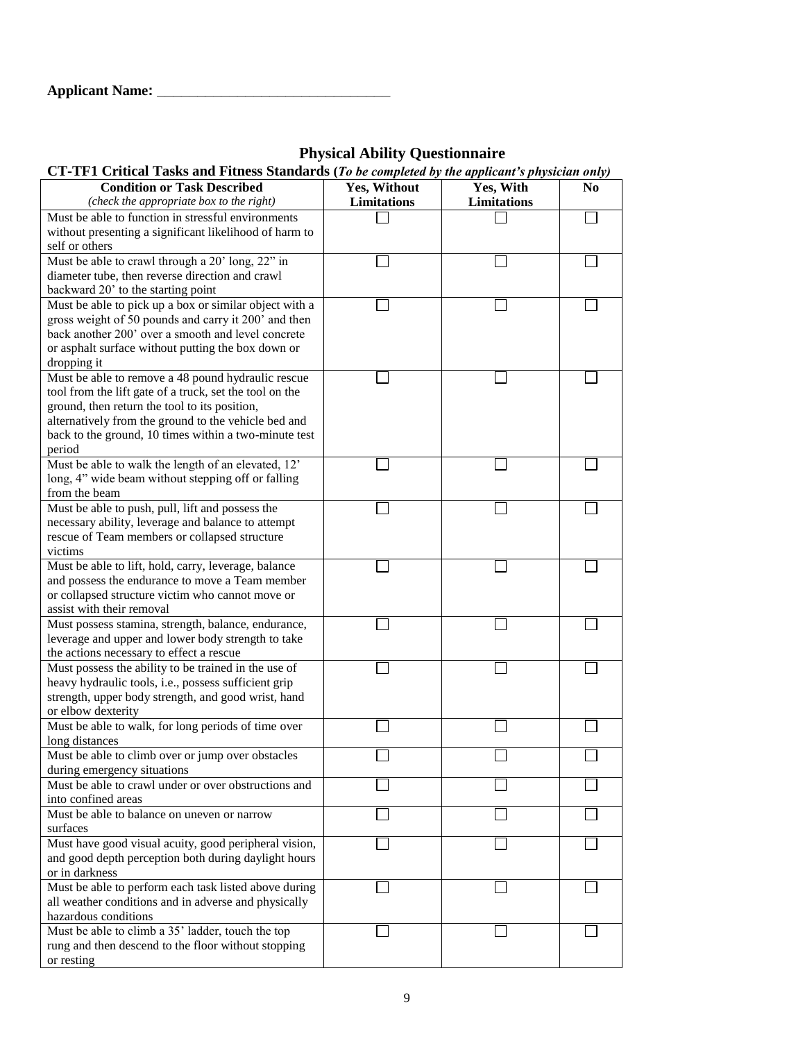## **Physical Ability Questionnaire**

| CT-TF1 Critical Tasks and Fitness Standards (To be completed by the applicant's physician only) |                    |                    |                |  |  |
|-------------------------------------------------------------------------------------------------|--------------------|--------------------|----------------|--|--|
| <b>Condition or Task Described</b>                                                              | Yes, Without       | Yes, With          | N <sub>0</sub> |  |  |
| (check the appropriate box to the right)                                                        | <b>Limitations</b> | <b>Limitations</b> |                |  |  |
| Must be able to function in stressful environments                                              |                    |                    |                |  |  |
| without presenting a significant likelihood of harm to                                          |                    |                    |                |  |  |
| self or others                                                                                  |                    |                    |                |  |  |
| Must be able to crawl through a 20' long, 22" in                                                |                    |                    |                |  |  |
| diameter tube, then reverse direction and crawl                                                 |                    |                    |                |  |  |
| backward 20' to the starting point                                                              |                    |                    |                |  |  |
| Must be able to pick up a box or similar object with a                                          |                    |                    |                |  |  |
| gross weight of 50 pounds and carry it 200' and then                                            |                    |                    |                |  |  |
| back another 200' over a smooth and level concrete                                              |                    |                    |                |  |  |
| or asphalt surface without putting the box down or                                              |                    |                    |                |  |  |
| dropping it                                                                                     |                    |                    |                |  |  |
| Must be able to remove a 48 pound hydraulic rescue                                              |                    |                    |                |  |  |
| tool from the lift gate of a truck, set the tool on the                                         |                    |                    |                |  |  |
| ground, then return the tool to its position,                                                   |                    |                    |                |  |  |
| alternatively from the ground to the vehicle bed and                                            |                    |                    |                |  |  |
| back to the ground, 10 times within a two-minute test                                           |                    |                    |                |  |  |
| period                                                                                          |                    |                    |                |  |  |
| Must be able to walk the length of an elevated, 12'                                             |                    |                    |                |  |  |
| long, 4" wide beam without stepping off or falling                                              |                    |                    |                |  |  |
| from the beam                                                                                   |                    |                    |                |  |  |
| Must be able to push, pull, lift and possess the                                                |                    |                    |                |  |  |
| necessary ability, leverage and balance to attempt                                              |                    |                    |                |  |  |
| rescue of Team members or collapsed structure                                                   |                    |                    |                |  |  |
| victims                                                                                         |                    |                    |                |  |  |
| Must be able to lift, hold, carry, leverage, balance                                            |                    |                    |                |  |  |
| and possess the endurance to move a Team member                                                 |                    |                    |                |  |  |
| or collapsed structure victim who cannot move or                                                |                    |                    |                |  |  |
| assist with their removal                                                                       |                    |                    |                |  |  |
| Must possess stamina, strength, balance, endurance,                                             |                    |                    |                |  |  |
| leverage and upper and lower body strength to take                                              |                    |                    |                |  |  |
| the actions necessary to effect a rescue                                                        |                    |                    |                |  |  |
| Must possess the ability to be trained in the use of                                            |                    |                    |                |  |  |
| heavy hydraulic tools, i.e., possess sufficient grip                                            |                    |                    |                |  |  |
| strength, upper body strength, and good wrist, hand                                             |                    |                    |                |  |  |
| or elbow dexterity                                                                              |                    |                    |                |  |  |
| Must be able to walk, for long periods of time over                                             |                    |                    |                |  |  |
| long distances                                                                                  |                    |                    |                |  |  |
| Must be able to climb over or jump over obstacles                                               |                    |                    |                |  |  |
| during emergency situations                                                                     |                    |                    |                |  |  |
| Must be able to crawl under or over obstructions and                                            |                    |                    |                |  |  |
| into confined areas                                                                             |                    |                    |                |  |  |
| Must be able to balance on uneven or narrow                                                     |                    |                    |                |  |  |
| surfaces                                                                                        |                    |                    |                |  |  |
| Must have good visual acuity, good peripheral vision,                                           |                    |                    |                |  |  |
| and good depth perception both during daylight hours                                            |                    |                    |                |  |  |
| or in darkness                                                                                  |                    |                    |                |  |  |
| Must be able to perform each task listed above during                                           |                    |                    |                |  |  |
| all weather conditions and in adverse and physically                                            |                    |                    |                |  |  |
| hazardous conditions                                                                            |                    |                    |                |  |  |
| Must be able to climb a 35' ladder, touch the top                                               |                    |                    |                |  |  |
| rung and then descend to the floor without stopping                                             |                    |                    |                |  |  |
| or resting                                                                                      |                    |                    |                |  |  |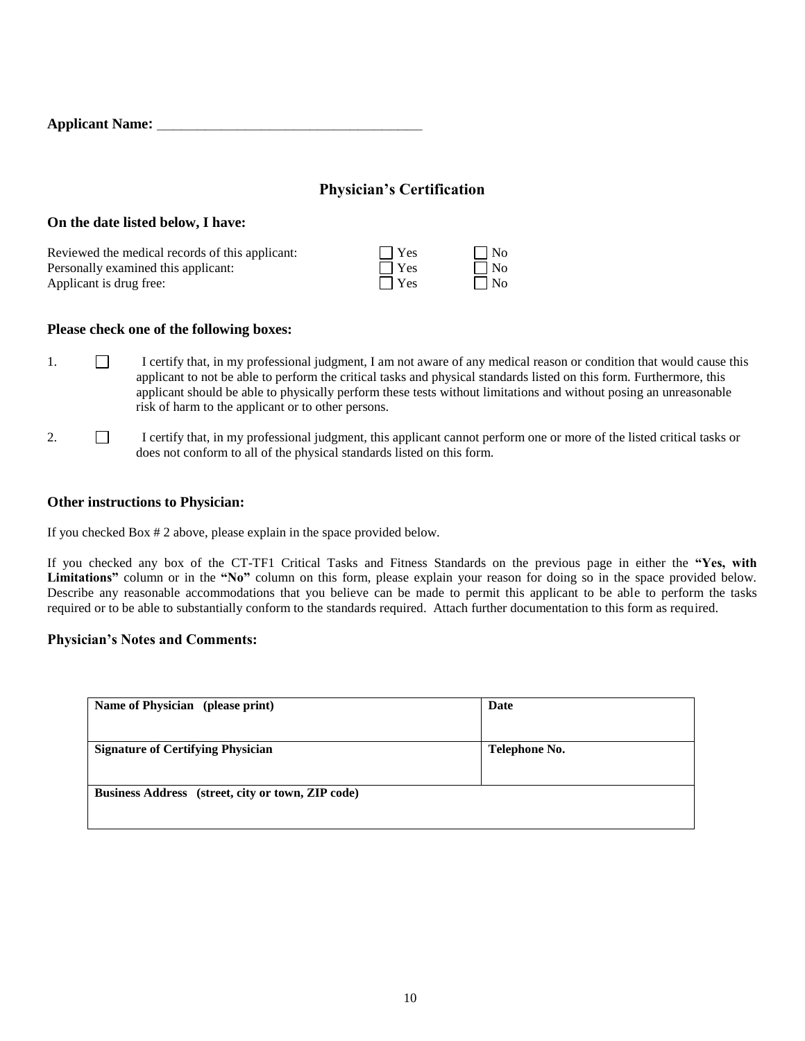| <b>Applicant Name:</b> |
|------------------------|
|------------------------|

## **Physician's Certification**

### **On the date listed below, I have:**

| Reviewed the medical records of this applicant: | $\Box$ Yes | $\Box$ No |
|-------------------------------------------------|------------|-----------|
| Personally examined this applicant:             | $\Box$ Yes | $\Box$ No |
| Applicant is drug free:                         | $\Box$ Yes | $\Box$ No |

### **Please check one of the following boxes:**

- 1. I certify that, in my professional judgment, I am not aware of any medical reason or condition that would cause this applicant to not be able to perform the critical tasks and physical standards listed on this form. Furthermore, this applicant should be able to physically perform these tests without limitations and without posing an unreasonable risk of harm to the applicant or to other persons.
- 2. I certify that, in my professional judgment, this applicant cannot perform one or more of the listed critical tasks or does not conform to all of the physical standards listed on this form.

### **Other instructions to Physician:**

If you checked Box # 2 above, please explain in the space provided below.

If you checked any box of the CT-TF1 Critical Tasks and Fitness Standards on the previous page in either the **"Yes, with Limitations"** column or in the **"No"** column on this form, please explain your reason for doing so in the space provided below. Describe any reasonable accommodations that you believe can be made to permit this applicant to be able to perform the tasks required or to be able to substantially conform to the standards required. Attach further documentation to this form as required.

### **Physician's Notes and Comments:**

| Date          |  |
|---------------|--|
|               |  |
| Telephone No. |  |
|               |  |
|               |  |
|               |  |
|               |  |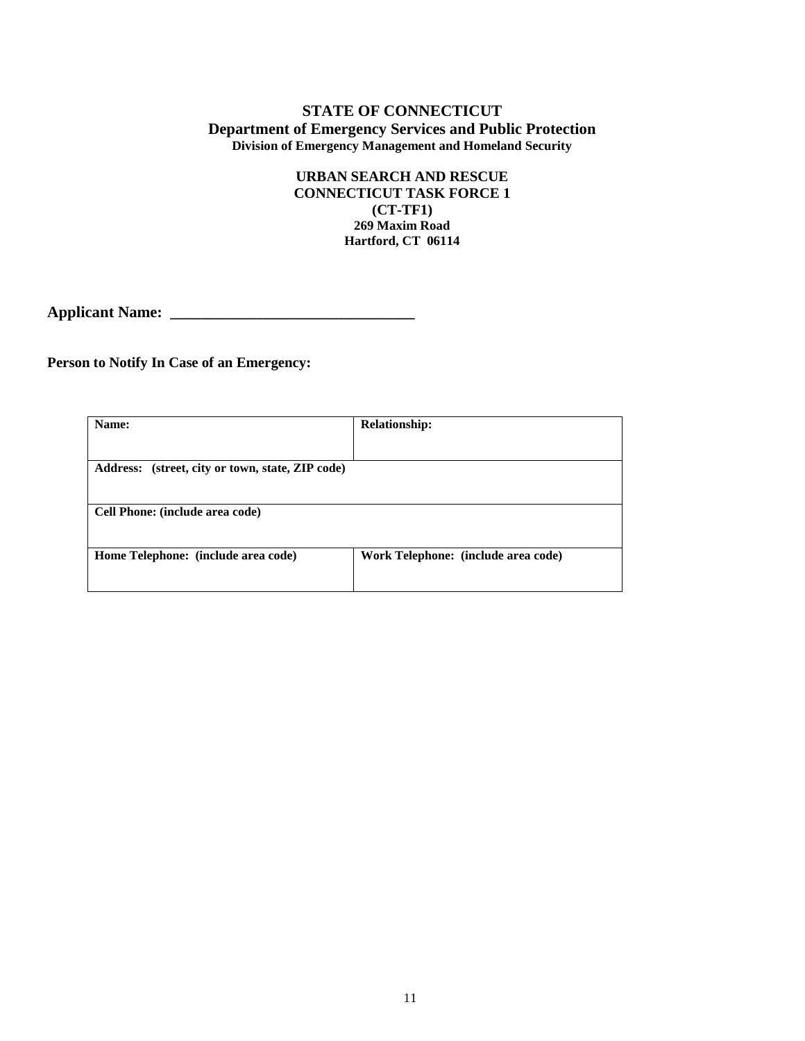### **URBAN SEARCH AND RESCUE CONNECTICUT TASK FORCE 1 (CT-TF1) 269 Maxim Road Hartford, CT 06114**

**Applicant Name: \_\_\_\_\_\_\_\_\_\_\_\_\_\_\_\_\_\_\_\_\_\_\_\_\_\_\_\_\_\_\_** 

### **Person to Notify In Case of an Emergency:**

| Name:                                            | <b>Relationship:</b>                |
|--------------------------------------------------|-------------------------------------|
|                                                  |                                     |
| Address: (street, city or town, state, ZIP code) |                                     |
|                                                  |                                     |
| Cell Phone: (include area code)                  |                                     |
|                                                  |                                     |
| Home Telephone: (include area code)              | Work Telephone: (include area code) |
|                                                  |                                     |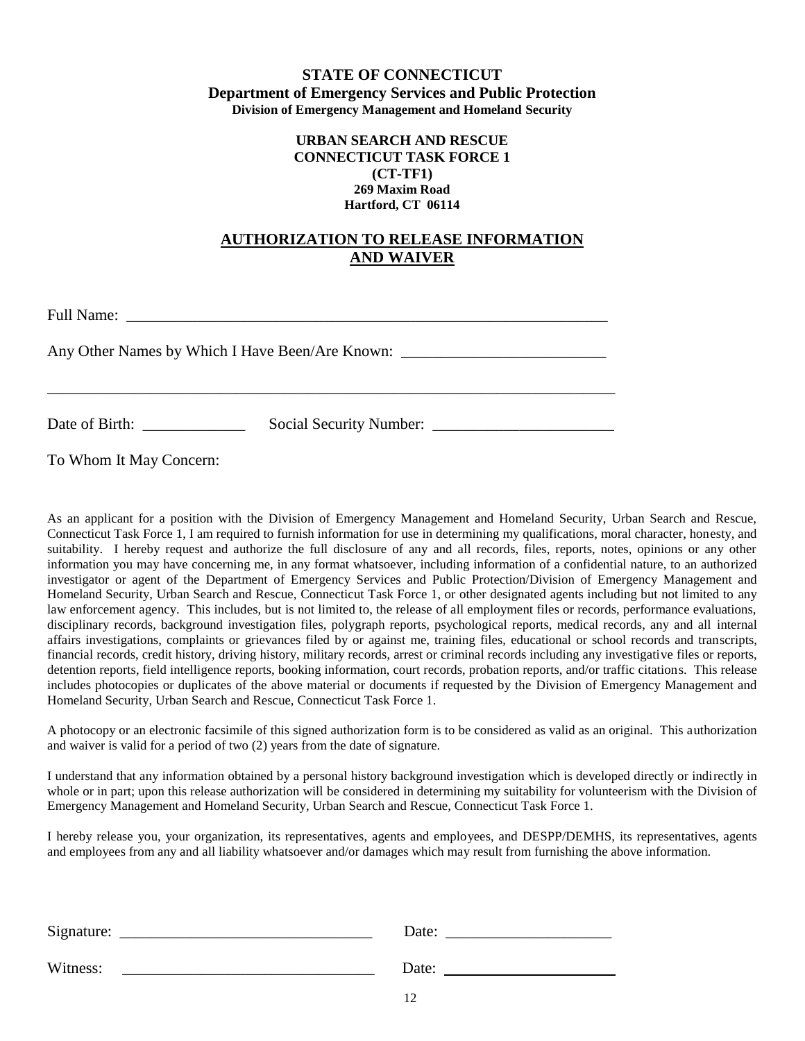### **URBAN SEARCH AND RESCUE CONNECTICUT TASK FORCE 1 (CT-TF1) 269 Maxim Road Hartford, CT 06114**

## **AUTHORIZATION TO RELEASE INFORMATION AND WAIVER**

Full Name: \_\_\_\_\_\_\_\_\_\_\_\_\_\_\_\_\_\_\_\_\_\_\_\_\_\_\_\_\_\_\_\_\_\_\_\_\_\_\_\_\_\_\_\_\_\_\_\_\_\_\_\_\_\_\_\_\_\_\_\_\_

Any Other Names by Which I Have Been/Are Known: \_\_\_\_\_\_\_\_\_\_\_\_\_\_\_\_\_\_\_\_\_\_\_\_\_\_\_\_\_\_\_\_

Date of Birth: \_\_\_\_\_\_\_\_\_\_\_\_\_ Social Security Number: \_\_\_\_\_\_\_\_\_\_\_\_\_\_\_\_\_\_\_\_\_\_\_

\_\_\_\_\_\_\_\_\_\_\_\_\_\_\_\_\_\_\_\_\_\_\_\_\_\_\_\_\_\_\_\_\_\_\_\_\_\_\_\_\_\_\_\_\_\_\_\_\_\_\_\_\_\_\_\_\_\_\_\_\_\_\_\_\_\_\_\_\_\_\_\_

To Whom It May Concern:

As an applicant for a position with the Division of Emergency Management and Homeland Security, Urban Search and Rescue, Connecticut Task Force 1, I am required to furnish information for use in determining my qualifications, moral character, honesty, and suitability. I hereby request and authorize the full disclosure of any and all records, files, reports, notes, opinions or any other information you may have concerning me, in any format whatsoever, including information of a confidential nature, to an authorized investigator or agent of the Department of Emergency Services and Public Protection/Division of Emergency Management and Homeland Security, Urban Search and Rescue, Connecticut Task Force 1, or other designated agents including but not limited to any law enforcement agency. This includes, but is not limited to, the release of all employment files or records, performance evaluations, disciplinary records, background investigation files, polygraph reports, psychological reports, medical records, any and all internal affairs investigations, complaints or grievances filed by or against me, training files, educational or school records and transcripts, financial records, credit history, driving history, military records, arrest or criminal records including any investigative files or reports, detention reports, field intelligence reports, booking information, court records, probation reports, and/or traffic citations. This release includes photocopies or duplicates of the above material or documents if requested by the Division of Emergency Management and Homeland Security, Urban Search and Rescue, Connecticut Task Force 1.

A photocopy or an electronic facsimile of this signed authorization form is to be considered as valid as an original. This authorization and waiver is valid for a period of two (2) years from the date of signature.

I understand that any information obtained by a personal history background investigation which is developed directly or indirectly in whole or in part; upon this release authorization will be considered in determining my suitability for volunteerism with the Division of Emergency Management and Homeland Security, Urban Search and Rescue, Connecticut Task Force 1.

I hereby release you, your organization, its representatives, agents and employees, and DESPP/DEMHS, its representatives, agents and employees from any and all liability whatsoever and/or damages which may result from furnishing the above information.

| Signature: | Date: |  |
|------------|-------|--|
| Witness:   | Date: |  |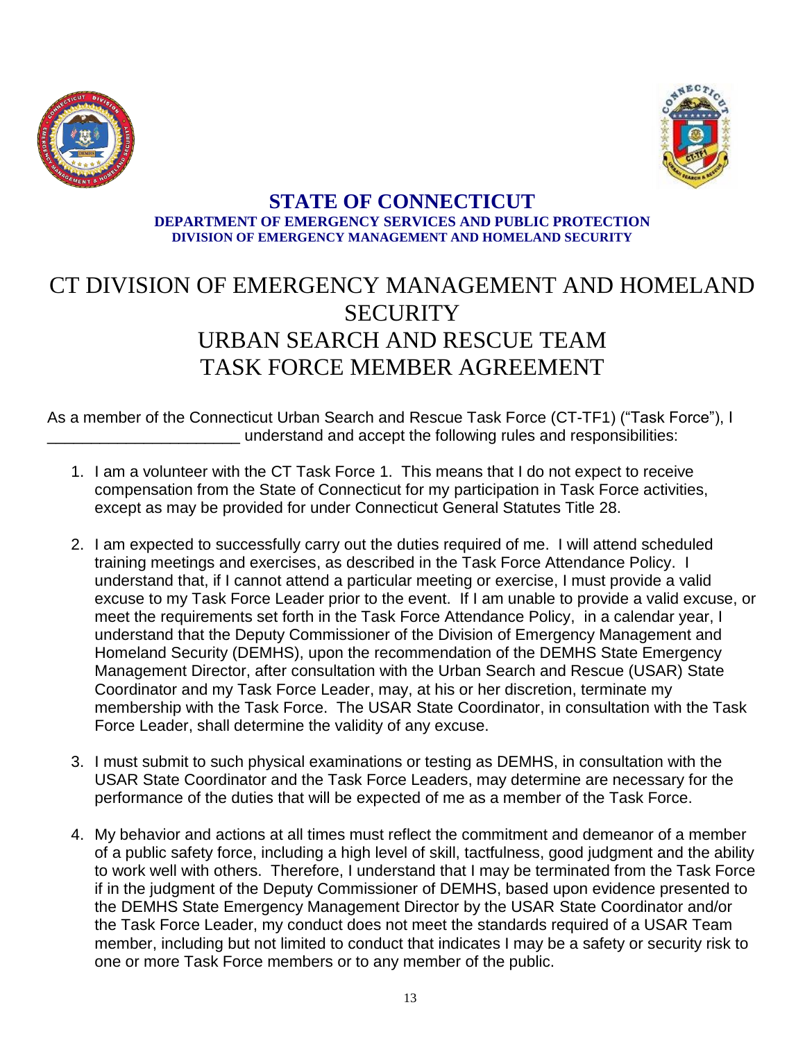



## **STATE OF CONNECTICUT DEPARTMENT OF EMERGENCY SERVICES AND PUBLIC PROTECTION DIVISION OF EMERGENCY MANAGEMENT AND HOMELAND SECURITY**

# CT DIVISION OF EMERGENCY MANAGEMENT AND HOMELAND **SECURITY** URBAN SEARCH AND RESCUE TEAM TASK FORCE MEMBER AGREEMENT

As a member of the Connecticut Urban Search and Rescue Task Force (CT-TF1) ("Task Force"), I understand and accept the following rules and responsibilities:

- 1. I am a volunteer with the CT Task Force 1. This means that I do not expect to receive compensation from the State of Connecticut for my participation in Task Force activities, except as may be provided for under Connecticut General Statutes Title 28.
- 2. I am expected to successfully carry out the duties required of me. I will attend scheduled training meetings and exercises, as described in the Task Force Attendance Policy. I understand that, if I cannot attend a particular meeting or exercise, I must provide a valid excuse to my Task Force Leader prior to the event. If I am unable to provide a valid excuse, or meet the requirements set forth in the Task Force Attendance Policy, in a calendar year, I understand that the Deputy Commissioner of the Division of Emergency Management and Homeland Security (DEMHS), upon the recommendation of the DEMHS State Emergency Management Director, after consultation with the Urban Search and Rescue (USAR) State Coordinator and my Task Force Leader, may, at his or her discretion, terminate my membership with the Task Force. The USAR State Coordinator, in consultation with the Task Force Leader, shall determine the validity of any excuse.
- 3. I must submit to such physical examinations or testing as DEMHS, in consultation with the USAR State Coordinator and the Task Force Leaders, may determine are necessary for the performance of the duties that will be expected of me as a member of the Task Force.
- 4. My behavior and actions at all times must reflect the commitment and demeanor of a member of a public safety force, including a high level of skill, tactfulness, good judgment and the ability to work well with others. Therefore, I understand that I may be terminated from the Task Force if in the judgment of the Deputy Commissioner of DEMHS, based upon evidence presented to the DEMHS State Emergency Management Director by the USAR State Coordinator and/or the Task Force Leader, my conduct does not meet the standards required of a USAR Team member, including but not limited to conduct that indicates I may be a safety or security risk to one or more Task Force members or to any member of the public.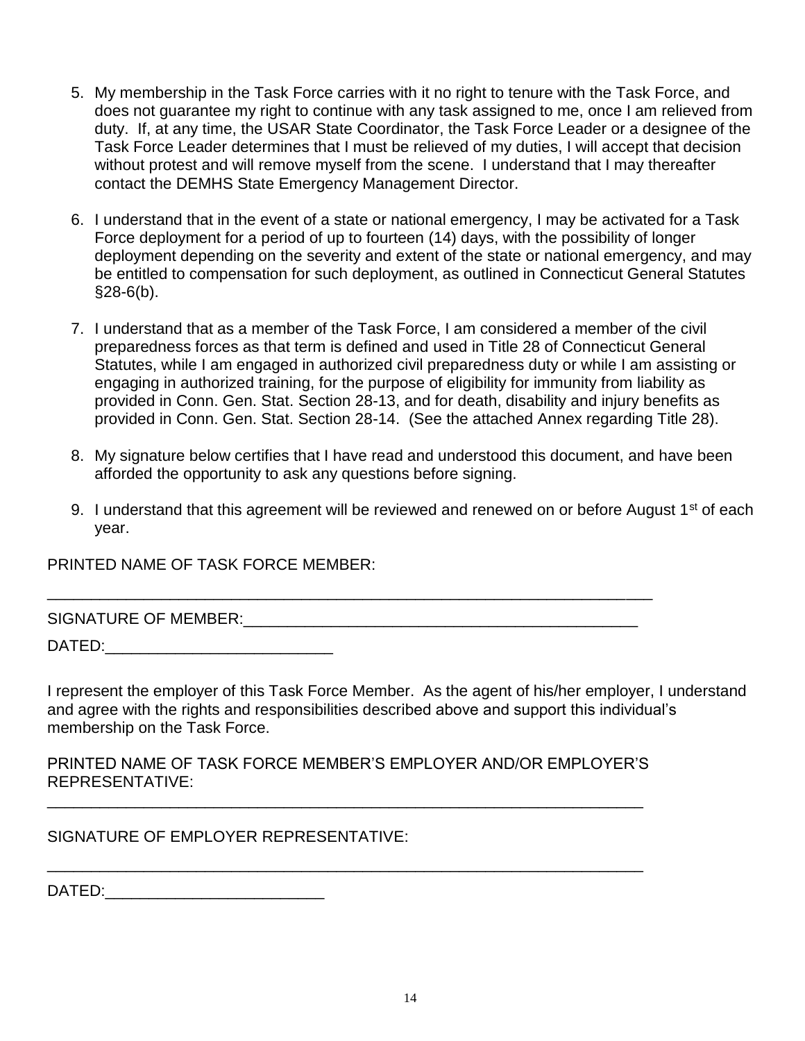- 5. My membership in the Task Force carries with it no right to tenure with the Task Force, and does not guarantee my right to continue with any task assigned to me, once I am relieved from duty. If, at any time, the USAR State Coordinator, the Task Force Leader or a designee of the Task Force Leader determines that I must be relieved of my duties, I will accept that decision without protest and will remove myself from the scene. I understand that I may thereafter contact the DEMHS State Emergency Management Director.
- 6. I understand that in the event of a state or national emergency, I may be activated for a Task Force deployment for a period of up to fourteen (14) days, with the possibility of longer deployment depending on the severity and extent of the state or national emergency, and may be entitled to compensation for such deployment, as outlined in Connecticut General Statutes  $§28-6(b).$
- 7. I understand that as a member of the Task Force, I am considered a member of the civil preparedness forces as that term is defined and used in Title 28 of Connecticut General Statutes, while I am engaged in authorized civil preparedness duty or while I am assisting or engaging in authorized training, for the purpose of eligibility for immunity from liability as provided in Conn. Gen. Stat. Section 28-13, and for death, disability and injury benefits as provided in Conn. Gen. Stat. Section 28-14. (See the attached Annex regarding Title 28).
- 8. My signature below certifies that I have read and understood this document, and have been afforded the opportunity to ask any questions before signing.
- 9. I understand that this agreement will be reviewed and renewed on or before August 1<sup>st</sup> of each year.

PRINTED NAME OF TASK FORCE MEMBER:

SIGNATURE OF MEMBER:  $\Box$ 

DATED:\_\_\_\_\_\_\_\_\_\_\_\_\_\_\_\_\_\_\_\_\_\_\_\_\_\_

I represent the employer of this Task Force Member. As the agent of his/her employer, I understand and agree with the rights and responsibilities described above and support this individual's membership on the Task Force.

PRINTED NAME OF TASK FORCE MEMBER'S EMPLOYER AND/OR EMPLOYER'S REPRESENTATIVE:

\_\_\_\_\_\_\_\_\_\_\_\_\_\_\_\_\_\_\_\_\_\_\_\_\_\_\_\_\_\_\_\_\_\_\_\_\_\_\_\_\_\_\_\_\_\_\_\_\_\_\_\_\_\_\_\_\_\_\_\_\_\_\_\_\_\_\_\_

\_\_\_\_\_\_\_\_\_\_\_\_\_\_\_\_\_\_\_\_\_\_\_\_\_\_\_\_\_\_\_\_\_\_\_\_\_\_\_\_\_\_\_\_\_\_\_\_\_\_\_\_\_\_\_\_\_\_\_\_\_\_\_\_\_\_\_\_

\_\_\_\_\_\_\_\_\_\_\_\_\_\_\_\_\_\_\_\_\_\_\_\_\_\_\_\_\_\_\_\_\_\_\_\_\_\_\_\_\_\_\_\_\_\_\_\_\_\_\_\_\_\_\_\_\_\_\_\_\_\_\_\_\_\_\_\_\_

SIGNATURE OF EMPLOYER REPRESENTATIVE:

DATED:\_\_\_\_\_\_\_\_\_\_\_\_\_\_\_\_\_\_\_\_\_\_\_\_\_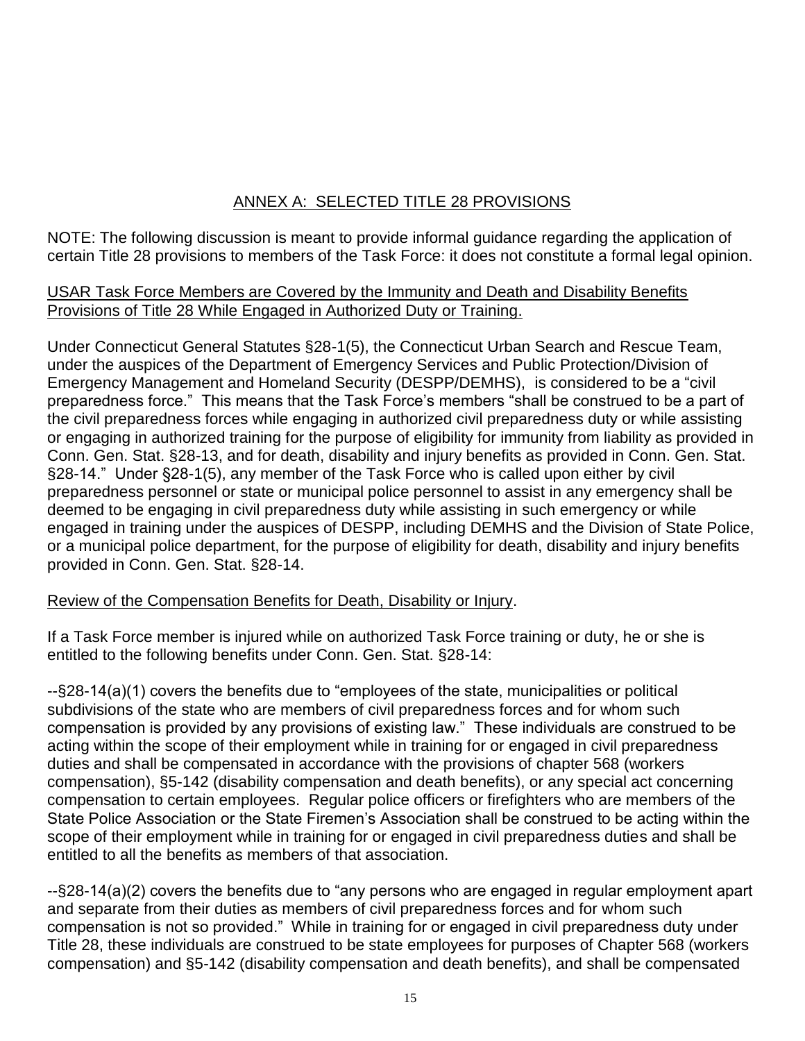## ANNEX A: SELECTED TITLE 28 PROVISIONS

NOTE: The following discussion is meant to provide informal guidance regarding the application of certain Title 28 provisions to members of the Task Force: it does not constitute a formal legal opinion.

## USAR Task Force Members are Covered by the Immunity and Death and Disability Benefits Provisions of Title 28 While Engaged in Authorized Duty or Training.

Under Connecticut General Statutes §28-1(5), the Connecticut Urban Search and Rescue Team, under the auspices of the Department of Emergency Services and Public Protection/Division of Emergency Management and Homeland Security (DESPP/DEMHS), is considered to be a "civil preparedness force." This means that the Task Force's members "shall be construed to be a part of the civil preparedness forces while engaging in authorized civil preparedness duty or while assisting or engaging in authorized training for the purpose of eligibility for immunity from liability as provided in Conn. Gen. Stat. §28-13, and for death, disability and injury benefits as provided in Conn. Gen. Stat. §28-14." Under §28-1(5), any member of the Task Force who is called upon either by civil preparedness personnel or state or municipal police personnel to assist in any emergency shall be deemed to be engaging in civil preparedness duty while assisting in such emergency or while engaged in training under the auspices of DESPP, including DEMHS and the Division of State Police, or a municipal police department, for the purpose of eligibility for death, disability and injury benefits provided in Conn. Gen. Stat. §28-14.

## Review of the Compensation Benefits for Death, Disability or Injury.

If a Task Force member is injured while on authorized Task Force training or duty, he or she is entitled to the following benefits under Conn. Gen. Stat. §28-14:

--§28-14(a)(1) covers the benefits due to "employees of the state, municipalities or political subdivisions of the state who are members of civil preparedness forces and for whom such compensation is provided by any provisions of existing law." These individuals are construed to be acting within the scope of their employment while in training for or engaged in civil preparedness duties and shall be compensated in accordance with the provisions of chapter 568 (workers compensation), §5-142 (disability compensation and death benefits), or any special act concerning compensation to certain employees. Regular police officers or firefighters who are members of the State Police Association or the State Firemen's Association shall be construed to be acting within the scope of their employment while in training for or engaged in civil preparedness duties and shall be entitled to all the benefits as members of that association.

--§28-14(a)(2) covers the benefits due to "any persons who are engaged in regular employment apart and separate from their duties as members of civil preparedness forces and for whom such compensation is not so provided." While in training for or engaged in civil preparedness duty under Title 28, these individuals are construed to be state employees for purposes of Chapter 568 (workers compensation) and §5-142 (disability compensation and death benefits), and shall be compensated